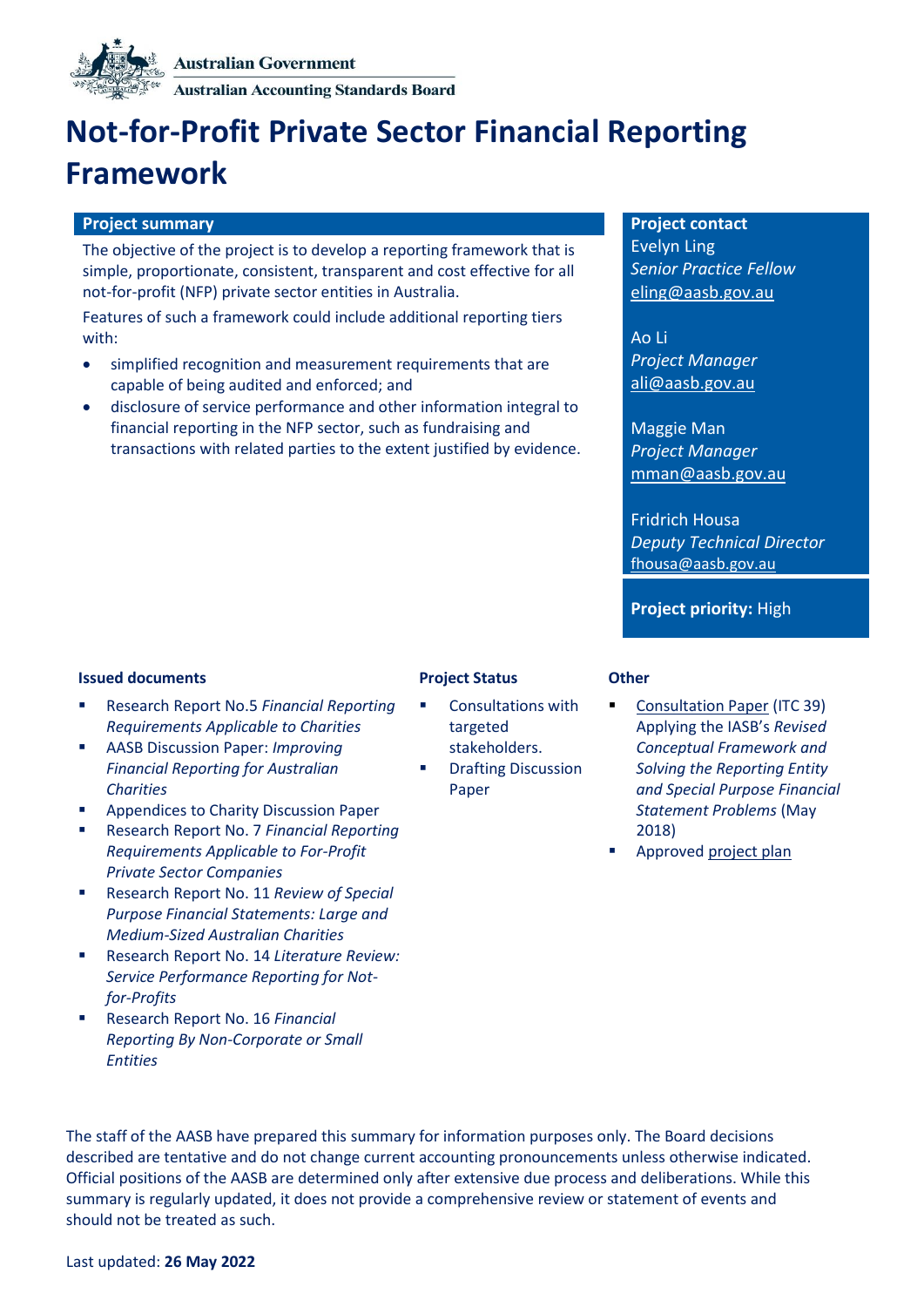

**Australian Accounting Standards Board** 

# **Not-for-Profit Private Sector Financial Reporting Framework**

### **Project summary Project contact**

The objective of the project is to develop a reporting framework that is simple, proportionate, consistent, transparent and cost effective for all not-for-profit (NFP) private sector entities in Australia.

Features of such a framework could include additional reporting tiers with:

- simplified recognition and measurement requirements that are capable of being audited and enforced; and
- disclosure of service performance and other information integral to financial reporting in the NFP sector, such as fundraising and transactions with related parties to the extent justified by evidence.

Evelyn Ling *Senior Practice Fellow* eling@aasb.gov.au

Ao Li *Project Manager* [ali@aasb.gov.au](mailto:jbarden@aasb.gov.au)

Maggie Man *Project Manager* mman@aasb.gov.au

Fridrich Housa *Deputy Technical Director* fhousa@aasb.gov.au

**Project priority:** High

### **Issued documents Project Status Other**

- Research Report No.5 *[Financial Reporting](http://www.aasb.gov.au/admin/file/content102/c3/AASB_RR_05_10-17.pdf)  [Requirements Applicable to Charities](http://www.aasb.gov.au/admin/file/content102/c3/AASB_RR_05_10-17.pdf)*
- AASB Discussion Paper: *[Improving](http://www.aasb.gov.au/admin/file/content102/c3/ACCDP_IFRAC_11-17.pdf)  [Financial Reporting for Australian](http://www.aasb.gov.au/admin/file/content102/c3/ACCDP_IFRAC_11-17.pdf)  [Charities](http://www.aasb.gov.au/admin/file/content102/c3/ACCDP_IFRAC_11-17.pdf)*
- Appendices to Charity Discussion Paper
- Research Report No. 7 *[Financial Reporting](https://www.aasb.gov.au/admin/file/content102/c3/AASB_RR_07_05-18.pdf)  [Requirements Applicable to For-Profit](https://www.aasb.gov.au/admin/file/content102/c3/AASB_RR_07_05-18.pdf)  [Private Sector Companies](https://www.aasb.gov.au/admin/file/content102/c3/AASB_RR_07_05-18.pdf)*
- Research Report No. 11 *Review of Special [Purpose Financial Statements: Large and](https://www.aasb.gov.au/admin/file/content102/c3/AASB_RR11_ACNCreport.pdf)  [Medium-Sized Australian Charities](https://www.aasb.gov.au/admin/file/content102/c3/AASB_RR11_ACNCreport.pdf)*
- Research Report No. 14 *[Literature Review:](https://www.aasb.gov.au/admin/file/content102/c3/AASB_RR14_LitReviewOfSPR.pdf)  [Service Performance Reporting for Not](https://www.aasb.gov.au/admin/file/content102/c3/AASB_RR14_LitReviewOfSPR.pdf)[for-Profits](https://www.aasb.gov.au/admin/file/content102/c3/AASB_RR14_LitReviewOfSPR.pdf)*
- Research Report No. 16 *[Financial](https://www.aasb.gov.au/admin/file/content102/c3/RR16_FinancialReportingByNonCorporateSmallEntities_04-21.pdf)  [Reporting By Non-Corporate or Small](https://www.aasb.gov.au/admin/file/content102/c3/RR16_FinancialReportingByNonCorporateSmallEntities_04-21.pdf)  [Entities](https://www.aasb.gov.au/admin/file/content102/c3/RR16_FinancialReportingByNonCorporateSmallEntities_04-21.pdf)*

- Consultations with targeted stakeholders.
- **Drafting Discussion** Paper

- [Consultation Paper](https://www.aasb.gov.au/admin/file/content105/c9/ITC39_05_18.pdf) (ITC 39) Applying the IASB's *Revised Conceptual Framework and Solving the Reporting Entity and Special Purpose Financial Statement Problems* (May 2018)
- Approve[d project plan](https://www.aasb.gov.au/admin/file/content102/c3/5.1_PP_NFP-private_M173.pdf)

The staff of the AASB have prepared this summary for information purposes only. The Board decisions described are tentative and do not change current accounting pronouncements unless otherwise indicated. Official positions of the AASB are determined only after extensive due process and deliberations. While this summary is regularly updated, it does not provide a comprehensive review or statement of events and should not be treated as such.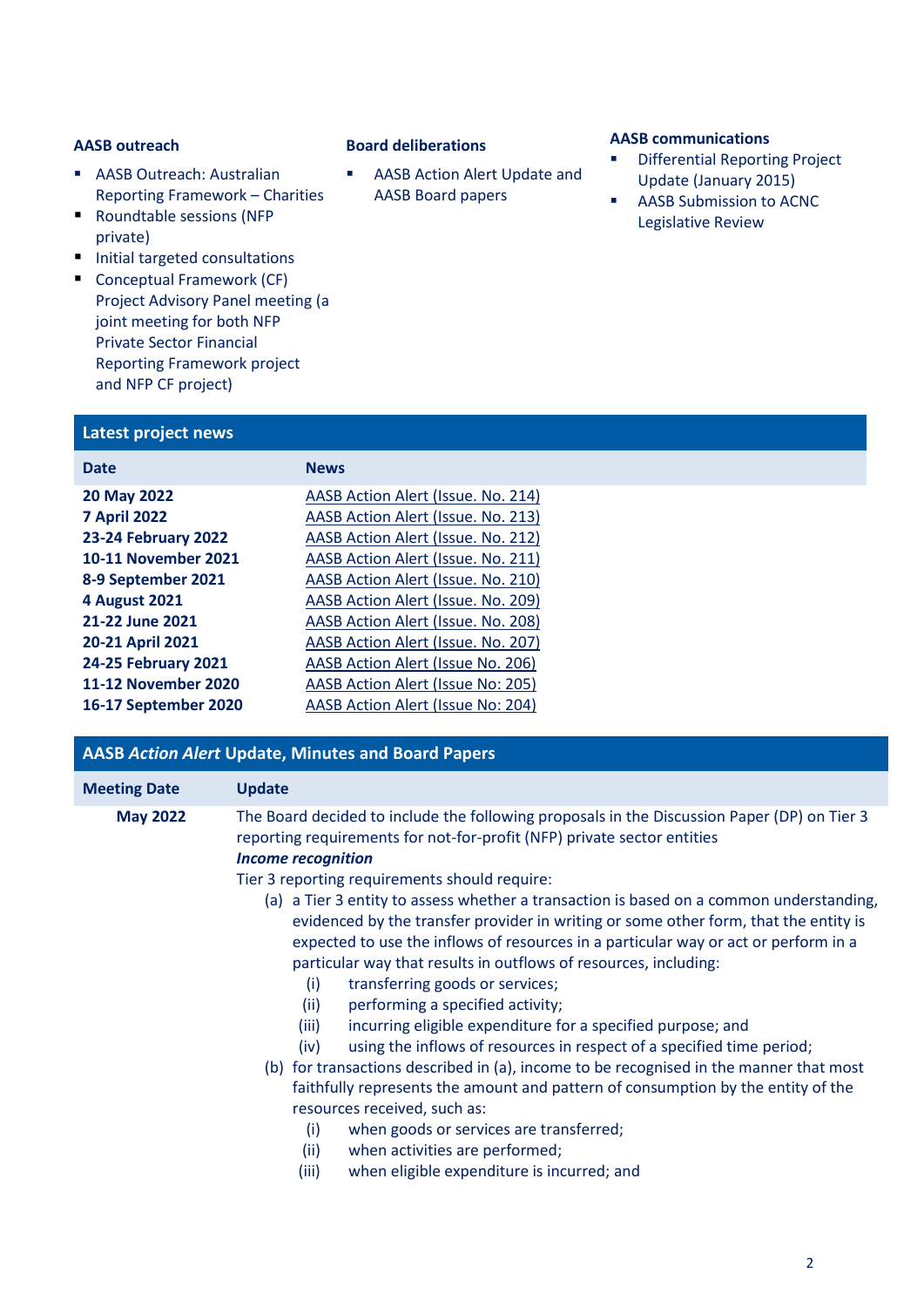- AASB Outreach: Australian [Reporting Framework](http://www.aasb.gov.au/admin/file/content102/c3/8.1_Collation_NFP_Outreach_2017_M161.pdf) – Charities
- Roundtable sessions (NFP [private\)](http://www.aasb.gov.au/admin/file/content102/c3/AASB_Roundtable_NFP_Private_Sector_Summary_1-16.pdf)
- Initial targeted consultations
- Conceptual Framework (CF) Project Advisory Panel meeting (a joint meeting for both NFP Private Sector Financial Reporting Framework project and NFP CF project)

# **Latest project news**

| <b>Date</b>                | <b>News</b>                               |
|----------------------------|-------------------------------------------|
| 20 May 2022                | AASB Action Alert (Issue. No. 214)        |
| <b>7 April 2022</b>        | <b>AASB Action Alert (Issue. No. 213)</b> |
| <b>23-24 February 2022</b> | <b>AASB Action Alert (Issue. No. 212)</b> |
| 10-11 November 2021        | AASB Action Alert (Issue. No. 211)        |
| 8-9 September 2021         | AASB Action Alert (Issue. No. 210)        |
| <b>4 August 2021</b>       | AASB Action Alert (Issue. No. 209)        |
| 21-22 June 2021            | AASB Action Alert (Issue. No. 208)        |
| 20-21 April 2021           | <b>AASB Action Alert (Issue. No. 207)</b> |
| 24-25 February 2021        | AASB Action Alert (Issue No. 206)         |
| 11-12 November 2020        | AASB Action Alert (Issue No: 205)         |
| 16-17 September 2020       | AASB Action Alert (Issue No: 204)         |
|                            |                                           |

# **AASB** *Action Alert* **Update, Minutes and Board Papers**

| <b>Meeting Date</b> | <b>Update</b>                                                                                                                                                                                                                                                                                                                                                                                                                                                                                                                                                                                                                                                                                                                                                           |  |
|---------------------|-------------------------------------------------------------------------------------------------------------------------------------------------------------------------------------------------------------------------------------------------------------------------------------------------------------------------------------------------------------------------------------------------------------------------------------------------------------------------------------------------------------------------------------------------------------------------------------------------------------------------------------------------------------------------------------------------------------------------------------------------------------------------|--|
| <b>May 2022</b>     | The Board decided to include the following proposals in the Discussion Paper (DP) on Tier 3<br>reporting requirements for not-for-profit (NFP) private sector entities<br><b>Income recognition</b><br>Tier 3 reporting requirements should require:<br>(a) a Tier 3 entity to assess whether a transaction is based on a common understanding,<br>evidenced by the transfer provider in writing or some other form, that the entity is                                                                                                                                                                                                                                                                                                                                 |  |
|                     | expected to use the inflows of resources in a particular way or act or perform in a<br>particular way that results in outflows of resources, including:<br>(i)<br>transferring goods or services;<br>(ii)<br>performing a specified activity;<br>incurring eligible expenditure for a specified purpose; and<br>(iii)<br>using the inflows of resources in respect of a specified time period;<br>(iv)<br>(b) for transactions described in (a), income to be recognised in the manner that most<br>faithfully represents the amount and pattern of consumption by the entity of the<br>resources received, such as:<br>when goods or services are transferred;<br>(i)<br>(ii)<br>when activities are performed;<br>when eligible expenditure is incurred; and<br>(iii) |  |

# **AASB outreach Board deliberations AASB communications**

■ AASB Action Alert Update and AASB Board papers

- **Differential Reporting Project** [Update \(January 2015\)](http://www.aasb.gov.au/admin/file/content102/c3/Differential_Reporting_Project_Update_12_01_2015.pdf)
- AASB Submission to ACNC Legislative Review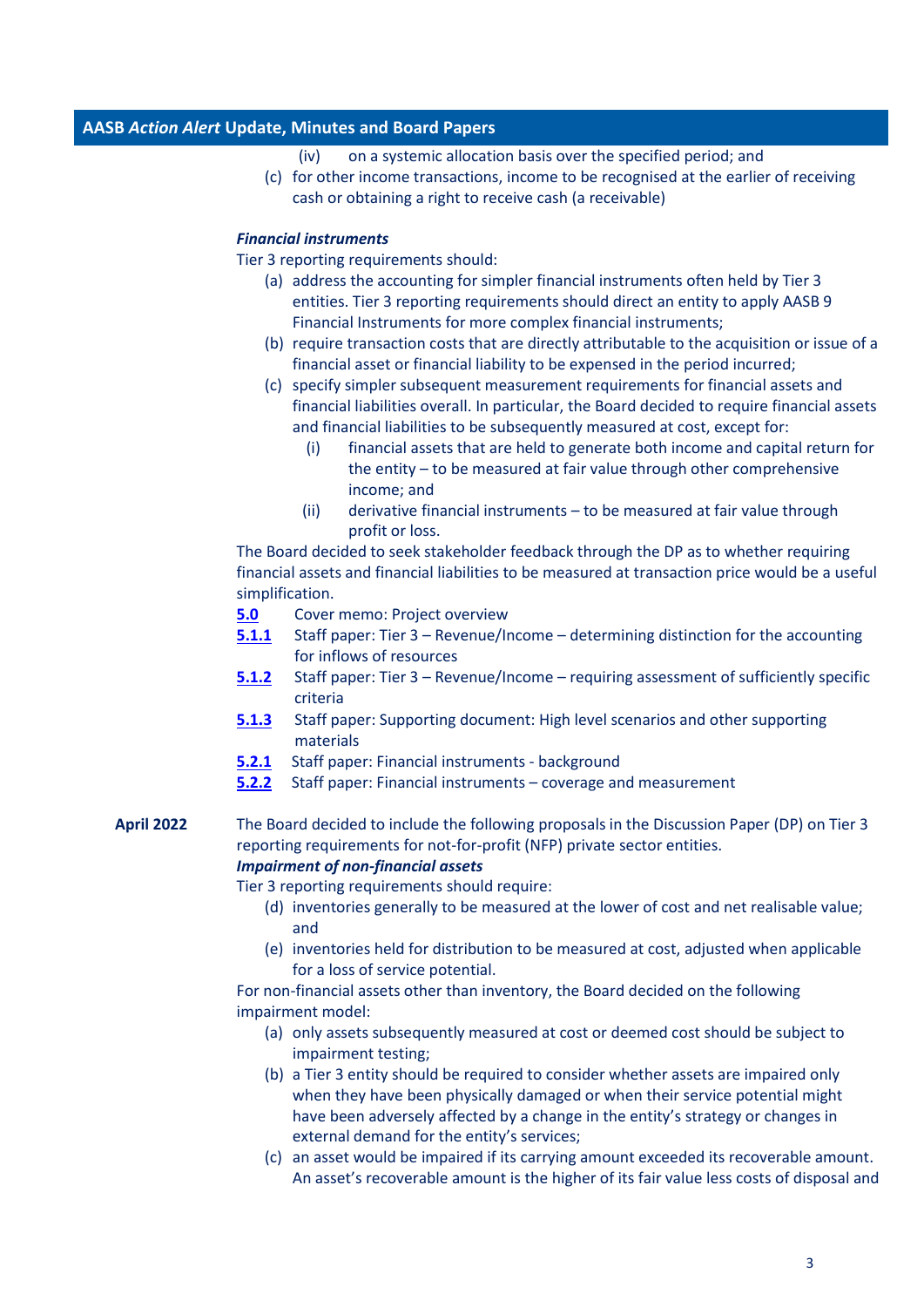- (iv) on a systemic allocation basis over the specified period; and
- (c) for other income transactions, income to be recognised at the earlier of receiving cash or obtaining a right to receive cash (a receivable)

### *Financial instruments*

Tier 3 reporting requirements should:

- (a) address the accounting for simpler financial instruments often held by Tier 3 entities. Tier 3 reporting requirements should direct an entity to apply AASB 9 Financial Instruments for more complex financial instruments;
- (b) require transaction costs that are directly attributable to the acquisition or issue of a financial asset or financial liability to be expensed in the period incurred;
- (c) specify simpler subsequent measurement requirements for financial assets and financial liabilities overall. In particular, the Board decided to require financial assets and financial liabilities to be subsequently measured at cost, except for:
	- (i) financial assets that are held to generate both income and capital return for the entity – to be measured at fair value through other comprehensive income; and
	- (ii) derivative financial instruments to be measured at fair value through profit or loss.

The Board decided to seek stakeholder feedback through the DP as to whether requiring financial assets and financial liabilities to be measured at transaction price would be a useful simplification.

- **[5.0](https://aasb.gov.au/media/34batwbo/05-0_sp_cm_m187_pp.pdf)** Cover memo: Project overview
- **[5.1.1](https://aasb.gov.au/media/wevd5413/05-1-1_sp_tier3revenue_m187_pp.pdf)** Staff paper: Tier 3 Revenue/Income determining distinction for the accounting for inflows of resources
- **[5.1.2](https://www.aasb.gov.au/media/oawg33rw/05-1-2_sp_tier3revenue_m187_pp.pdf)** Staff paper: Tier 3 Revenue/Income requiring assessment of sufficiently specific criteria
- **[5.1](https://www.aasb.gov.au/media/nfsllbsl/05-1-3_sp_tier-3revenuesupportingdoc_m187_pp.pdf).3** Staff paper: Supporting document: High level scenarios and other supporting materials
- **[5.2.1](https://www.aasb.gov.au/media/ngag0fak/05-2-1_sp_tier3fininst_m187_pp.pdf)** Staff paper: Financial instruments background
- **[5.2.2](https://www.aasb.gov.au/media/o1bo0lfw/05-2-2_sp_tier3fininstcoveragemeasurement_m187_pp-revised.pdf)** Staff paper: Financial instruments coverage and measurement

# **April 2022** The Board decided to include the following proposals in the Discussion Paper (DP) on Tier 3 reporting requirements for not-for-profit (NFP) private sector entities. *Impairment of non-financial assets*

Tier 3 reporting requirements should require:

- (d) inventories generally to be measured at the lower of cost and net realisable value; and
- (e) inventories held for distribution to be measured at cost, adjusted when applicable for a loss of service potential.

For non-financial assets other than inventory, the Board decided on the following impairment model:

- (a) only assets subsequently measured at cost or deemed cost should be subject to impairment testing;
- (b) a Tier 3 entity should be required to consider whether assets are impaired only when they have been physically damaged or when their service potential might have been adversely affected by a change in the entity's strategy or changes in external demand for the entity's services;
- (c) an asset would be impaired if its carrying amount exceeded its recoverable amount. An asset's recoverable amount is the higher of its fair value less costs of disposal and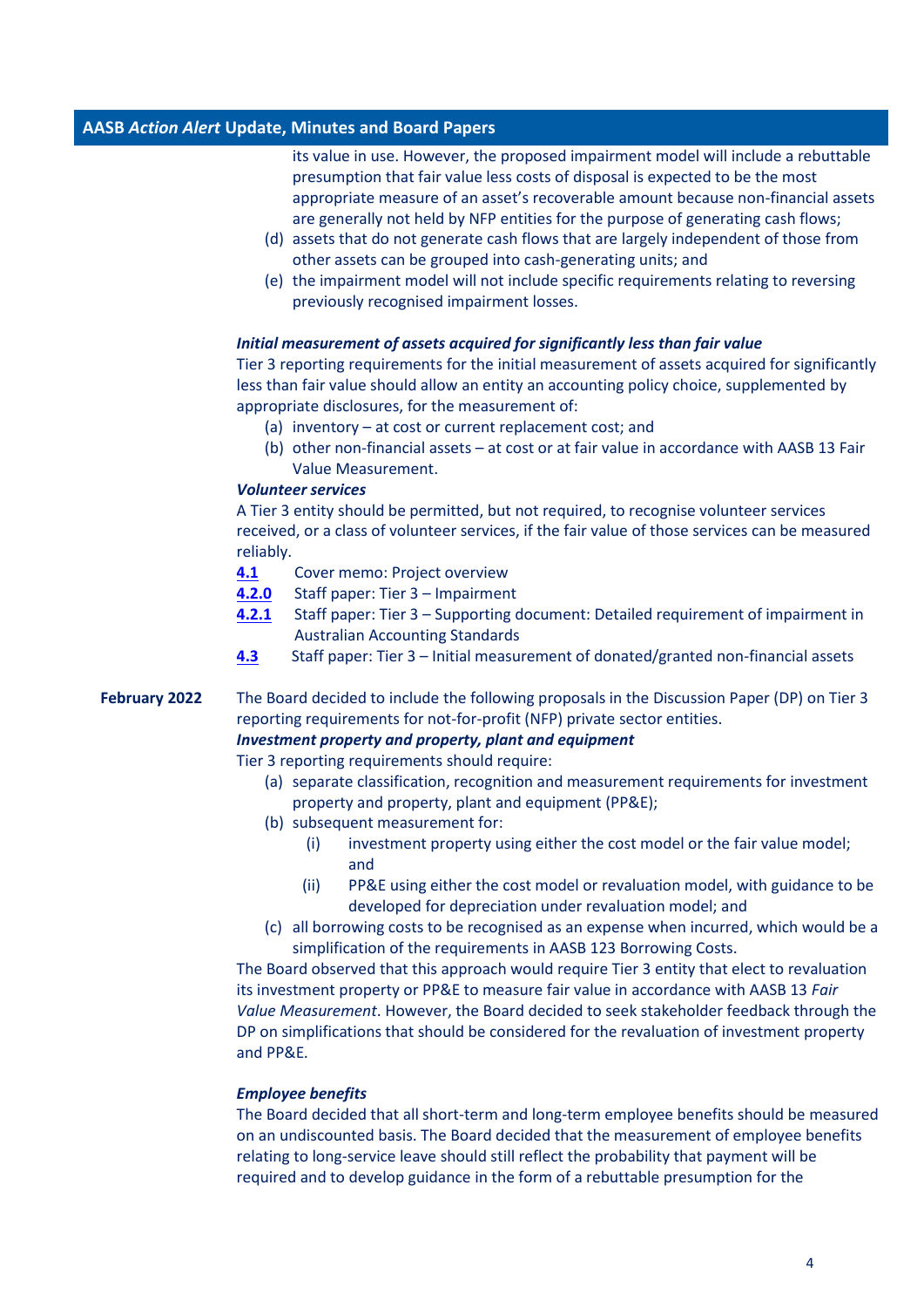its value in use. However, the proposed impairment model will include a rebuttable presumption that fair value less costs of disposal is expected to be the most appropriate measure of an asset's recoverable amount because non-financial assets are generally not held by NFP entities for the purpose of generating cash flows;

- (d) assets that do not generate cash flows that are largely independent of those from other assets can be grouped into cash-generating units; and
- (e) the impairment model will not include specific requirements relating to reversing previously recognised impairment losses.

#### *Initial measurement of assets acquired for significantly less than fair value*

Tier 3 reporting requirements for the initial measurement of assets acquired for significantly less than fair value should allow an entity an accounting policy choice, supplemented by appropriate disclosures, for the measurement of:

- (a) inventory at cost or current replacement cost; and
- (b) other non-financial assets at cost or at fair value in accordance with AASB 13 Fair Value Measurement.

### *Volunteer services*

A Tier 3 entity should be permitted, but not required, to recognise volunteer services received, or a class of volunteer services, if the fair value of those services can be measured reliably.

- **[4.1](https://www.aasb.gov.au/media/wmacglhu/04-1_sp_cm_m186_pp.pdf)** Cover memo: Project overview
- **[4.2.](https://www.aasb.gov.au/media/cy3mb1xz/04-2-0_sp_tier3_impairment_m186_pp.pdf)0** Staff paper: Tier 3 Impairment
- **[4.2.1](https://www.aasb.gov.au/media/esab1qce/04-2-1_sp_tier-3impairmentsupportingdoc_m186_sm_pp.pdf)** Staff paper: Tier 3 Supporting document: Detailed requirement of impairment in Australian Accounting Standards
- **[4.3](https://www.aasb.gov.au/media/wo0ladv5/04-3_sp_tier3revenuedonatednfa_m186_pp.pdf)** Staff paper: Tier 3 Initial measurement of donated/granted non-financial assets

## **February 2022** The Board decided to include the following proposals in the Discussion Paper (DP) on Tier 3 reporting requirements for not-for-profit (NFP) private sector entities. *Investment property and property, plant and equipment*

Tier 3 reporting requirements should require:

- (a) separate classification, recognition and measurement requirements for investment property and property, plant and equipment (PP&E);
- (b) subsequent measurement for:
	- (i) investment property using either the cost model or the fair value model; and
	- (ii) PP&E using either the cost model or revaluation model, with guidance to be developed for depreciation under revaluation model; and
- (c) all borrowing costs to be recognised as an expense when incurred, which would be a simplification of the requirements in AASB 123 Borrowing Costs.

The Board observed that this approach would require Tier 3 entity that elect to revaluation its investment property or PP&E to measure fair value in accordance with AASB 13 *Fair Value Measurement*. However, the Board decided to seek stakeholder feedback through the DP on simplifications that should be considered for the revaluation of investment property and PP&E*.*

### *Employee benefits*

The Board decided that all short-term and long-term employee benefits should be measured on an undiscounted basis. The Board decided that the measurement of employee benefits relating to long-service leave should still reflect the probability that payment will be required and to develop guidance in the form of a rebuttable presumption for the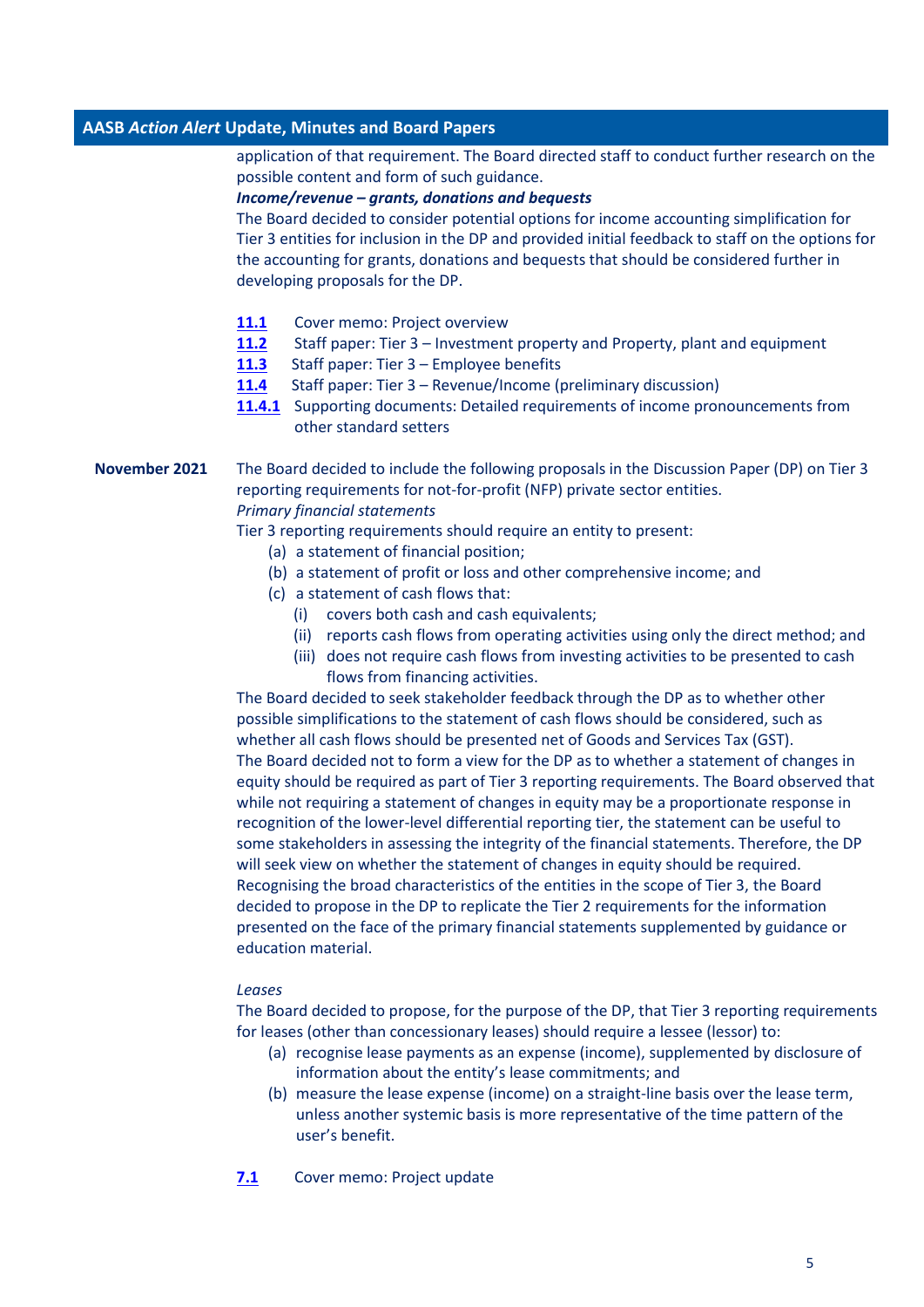application of that requirement. The Board directed staff to conduct further research on the possible content and form of such guidance.

#### *Income/revenue – grants, donations and bequests*

The Board decided to consider potential options for income accounting simplification for Tier 3 entities for inclusion in the DP and provided initial feedback to staff on the options for the accounting for grants, donations and bequests that should be considered further in developing proposals for the DP.

- [11.1](https://aasb.gov.au/media/tuwll4gj/11-1_sp_cm_m185_pp.pdf) Cover memo: Project overview
- **[11.2](https://aasb.gov.au/media/haih540j/11-2_sp_tier3investpropertyppe_m185_pp.pdf)** Staff paper: Tier 3 Investment property and Property, plant and equipment
- **[11.3](https://aasb.gov.au/media/gsxjvuqp/11-3_sp_tier3employeebenefits_m185_pp.pdf)** Staff paper: Tier 3 Employee benefits
- **[11.4](https://aasb.gov.au/media/ol4ondoy/11-4-0_sp_tier3revenuegrants_m185_pp.pdf)** Staff paper: Tier 3 Revenue/Income (preliminary discussion)
- **[11.4.1](https://aasb.gov.au/media/lean4o4b/11-4-1_sp_tier-3revenuesupportingdoc_m185_sm.pdf)** Supporting documents: Detailed requirements of income pronouncements from other standard setters

**November 2021** The Board decided to include the following proposals in the Discussion Paper (DP) on Tier 3 reporting requirements for not-for-profit (NFP) private sector entities. *Primary financial statements*

Tier 3 reporting requirements should require an entity to present:

- (a) a statement of financial position;
- (b) a statement of profit or loss and other comprehensive income; and
- (c) a statement of cash flows that:
	- (i) covers both cash and cash equivalents;
	- (ii) reports cash flows from operating activities using only the direct method; and
	- (iii) does not require cash flows from investing activities to be presented to cash flows from financing activities.

The Board decided to seek stakeholder feedback through the DP as to whether other possible simplifications to the statement of cash flows should be considered, such as whether all cash flows should be presented net of Goods and Services Tax (GST). The Board decided not to form a view for the DP as to whether a statement of changes in equity should be required as part of Tier 3 reporting requirements. The Board observed that while not requiring a statement of changes in equity may be a proportionate response in recognition of the lower-level differential reporting tier, the statement can be useful to some stakeholders in assessing the integrity of the financial statements. Therefore, the DP will seek view on whether the statement of changes in equity should be required. Recognising the broad characteristics of the entities in the scope of Tier 3, the Board decided to propose in the DP to replicate the Tier 2 requirements for the information presented on the face of the primary financial statements supplemented by guidance or education material.

#### *Leases*

The Board decided to propose, for the purpose of the DP, that Tier 3 reporting requirements for leases (other than concessionary leases) should require a lessee (lessor) to:

- (a) recognise lease payments as an expense (income), supplemented by disclosure of information about the entity's lease commitments; and
- (b) measure the lease expense (income) on a straight-line basis over the lease term, unless another systemic basis is more representative of the time pattern of the user's benefit.
- **[7.1](https://aasb.gov.au/media/x4eiyb3a/7-1_sp_covermemo_m184_pp.pdf)** Cover memo: Project update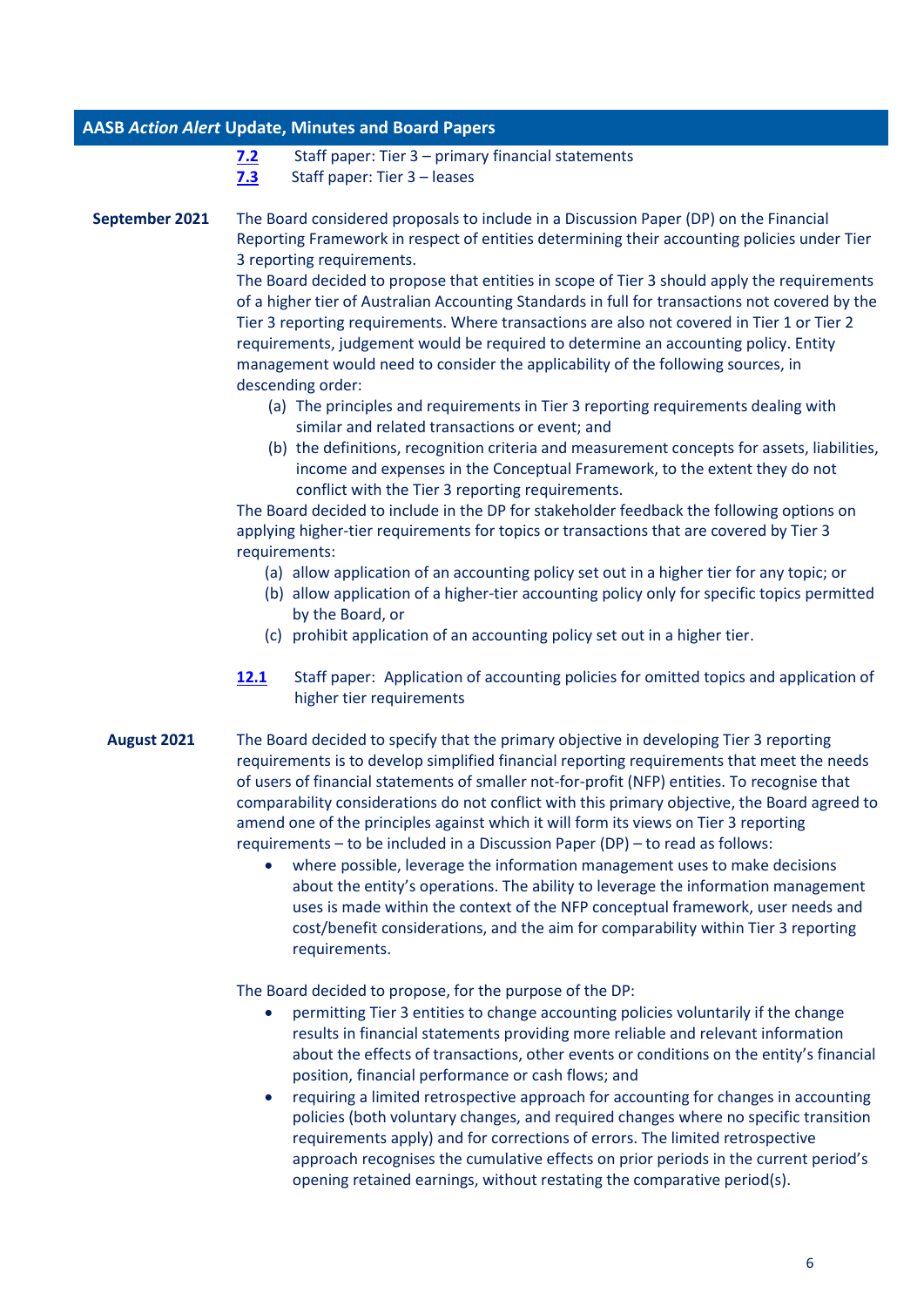- **[7.2](https://aasb.gov.au/media/f3npo4c0/7-2_sp_tier3_financial_statements_m184_pp.pdf)** Staff paper: Tier 3 primary financial statements
- **[7.3](https://aasb.gov.au/media/vzwftqgu/7-3_sp_tier3_leases_m184_pp.pdf)** Staff paper: Tier 3 leases

**September 2021** The Board considered proposals to include in a Discussion Paper (DP) on the Financial Reporting Framework in respect of entities determining their accounting policies under Tier 3 reporting requirements.

> The Board decided to propose that entities in scope of Tier 3 should apply the requirements of a higher tier of Australian Accounting Standards in full for transactions not covered by the Tier 3 reporting requirements. Where transactions are also not covered in Tier 1 or Tier 2 requirements, judgement would be required to determine an accounting policy. Entity management would need to consider the applicability of the following sources, in descending order:

- (a) The principles and requirements in Tier 3 reporting requirements dealing with similar and related transactions or event; and
- (b) the definitions, recognition criteria and measurement concepts for assets, liabilities, income and expenses in the Conceptual Framework, to the extent they do not conflict with the Tier 3 reporting requirements.

The Board decided to include in the DP for stakeholder feedback the following options on applying higher-tier requirements for topics or transactions that are covered by Tier 3 requirements:

- (a) allow application of an accounting policy set out in a higher tier for any topic; or
- (b) allow application of a higher-tier accounting policy only for specific topics permitted by the Board, or
- (c) prohibit application of an accounting policy set out in a higher tier.
- **[12.1](https://aasb.gov.au/media/lyyb3pqy/12-1_sp_omittedtopicsclassoftransactionsapproach_m183_pp.pdf)** Staff paper: Application of accounting policies for omitted topics and application of higher tier requirements
- **August 2021** The Board decided to specify that the primary objective in developing Tier 3 reporting requirements is to develop simplified financial reporting requirements that meet the needs of users of financial statements of smaller not-for-profit (NFP) entities. To recognise that comparability considerations do not conflict with this primary objective, the Board agreed to amend one of the principles against which it will form its views on Tier 3 reporting requirements – to be included in a Discussion Paper (DP) – to read as follows:
	- where possible, leverage the information management uses to make decisions about the entity's operations. The ability to leverage the information management uses is made within the context of the NFP conceptual framework, user needs and cost/benefit considerations, and the aim for comparability within Tier 3 reporting requirements.

The Board decided to propose, for the purpose of the DP:

- permitting Tier 3 entities to change accounting policies voluntarily if the change results in financial statements providing more reliable and relevant information about the effects of transactions, other events or conditions on the entity's financial position, financial performance or cash flows; and
- requiring a limited retrospective approach for accounting for changes in accounting policies (both voluntary changes, and required changes where no specific transition requirements apply) and for corrections of errors. The limited retrospective approach recognises the cumulative effects on prior periods in the current period's opening retained earnings, without restating the comparative period(s).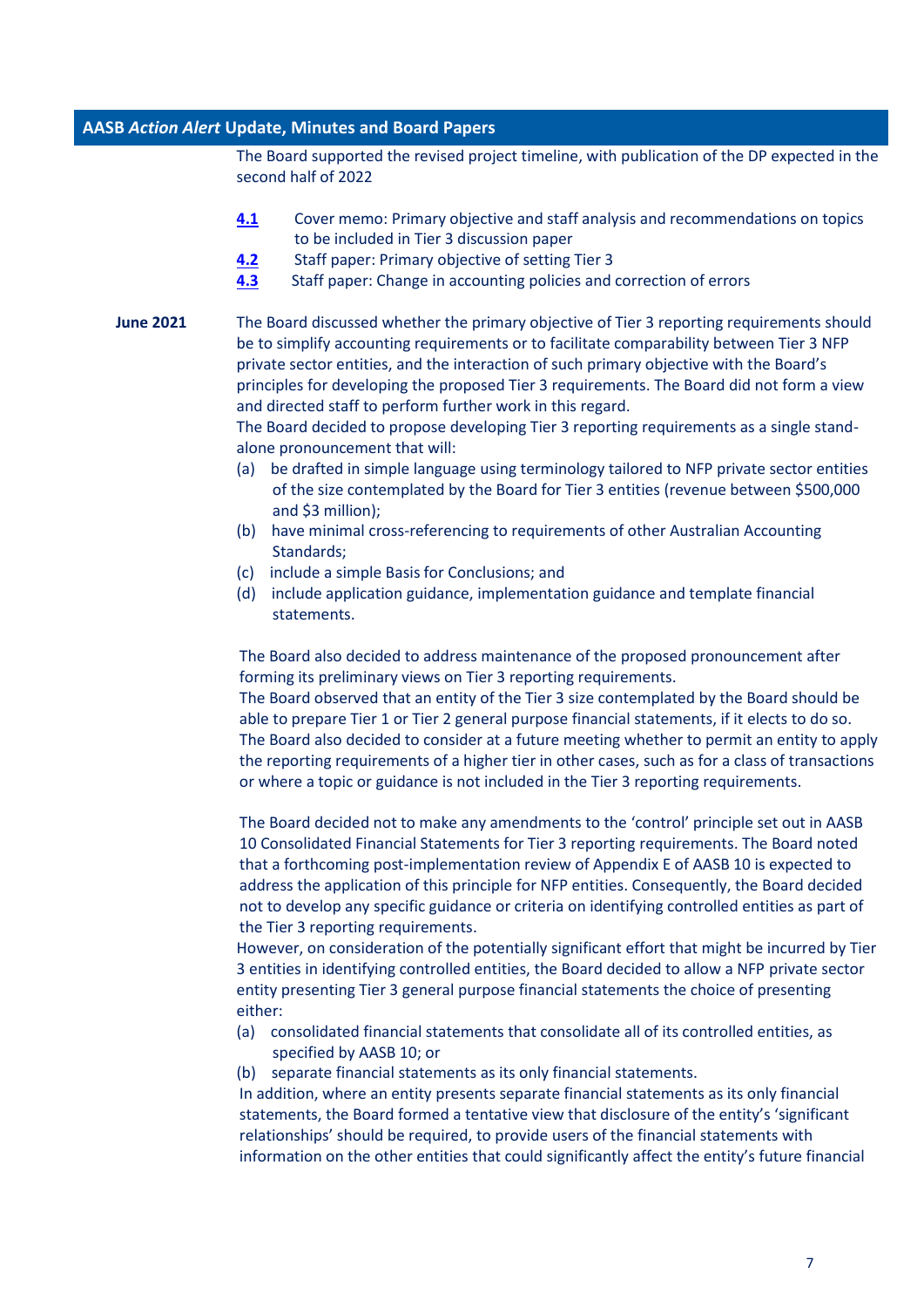The Board supported the revised project timeline, with publication of the DP expected in the second half of 2022

- **[4.1](https://aasb.gov.au/media/hd0kig2j/4-1_sp_covermemo_m182_pp.pdf)** Cover memo: Primary objective and staff analysis and recommendations on topics to be included in Tier 3 discussion paper
- **[4.2](https://aasb.gov.au/media/3gtluize/4-2_sp_objectiveoftier3framework_m182_pp.pdf)** Staff paper: Primary objective of setting Tier 3
- **[4.3](https://aasb.gov.au/media/qvspnte4/4-3_sp_tier3changeinaccountingpolicies_m182_pp.pdf)** Staff paper: Change in accounting policies and correction of errors
- **June 2021** The Board discussed whether the primary objective of Tier 3 reporting requirements should be to simplify accounting requirements or to facilitate comparability between Tier 3 NFP private sector entities, and the interaction of such primary objective with the Board's principles for developing the proposed Tier 3 requirements. The Board did not form a view and directed staff to perform further work in this regard.

The Board decided to propose developing Tier 3 reporting requirements as a single standalone pronouncement that will:

- (a) be drafted in simple language using terminology tailored to NFP private sector entities of the size contemplated by the Board for Tier 3 entities (revenue between \$500,000 and \$3 million);
- (b) have minimal cross-referencing to requirements of other Australian Accounting Standards;
- (c) include a simple Basis for Conclusions; and
- (d) include application guidance, implementation guidance and template financial statements.

The Board also decided to address maintenance of the proposed pronouncement after forming its preliminary views on Tier 3 reporting requirements.

The Board observed that an entity of the Tier 3 size contemplated by the Board should be able to prepare Tier 1 or Tier 2 general purpose financial statements, if it elects to do so. The Board also decided to consider at a future meeting whether to permit an entity to apply the reporting requirements of a higher tier in other cases, such as for a class of transactions or where a topic or guidance is not included in the Tier 3 reporting requirements.

The Board decided not to make any amendments to the 'control' principle set out in AASB 10 Consolidated Financial Statements for Tier 3 reporting requirements. The Board noted that a forthcoming post-implementation review of Appendix E of AASB 10 is expected to address the application of this principle for NFP entities. Consequently, the Board decided not to develop any specific guidance or criteria on identifying controlled entities as part of the Tier 3 reporting requirements.

However, on consideration of the potentially significant effort that might be incurred by Tier 3 entities in identifying controlled entities, the Board decided to allow a NFP private sector entity presenting Tier 3 general purpose financial statements the choice of presenting either:

- (a) consolidated financial statements that consolidate all of its controlled entities, as specified by AASB 10; or
- (b) separate financial statements as its only financial statements.

In addition, where an entity presents separate financial statements as its only financial statements, the Board formed a tentative view that disclosure of the entity's 'significant relationships' should be required, to provide users of the financial statements with information on the other entities that could significantly affect the entity's future financial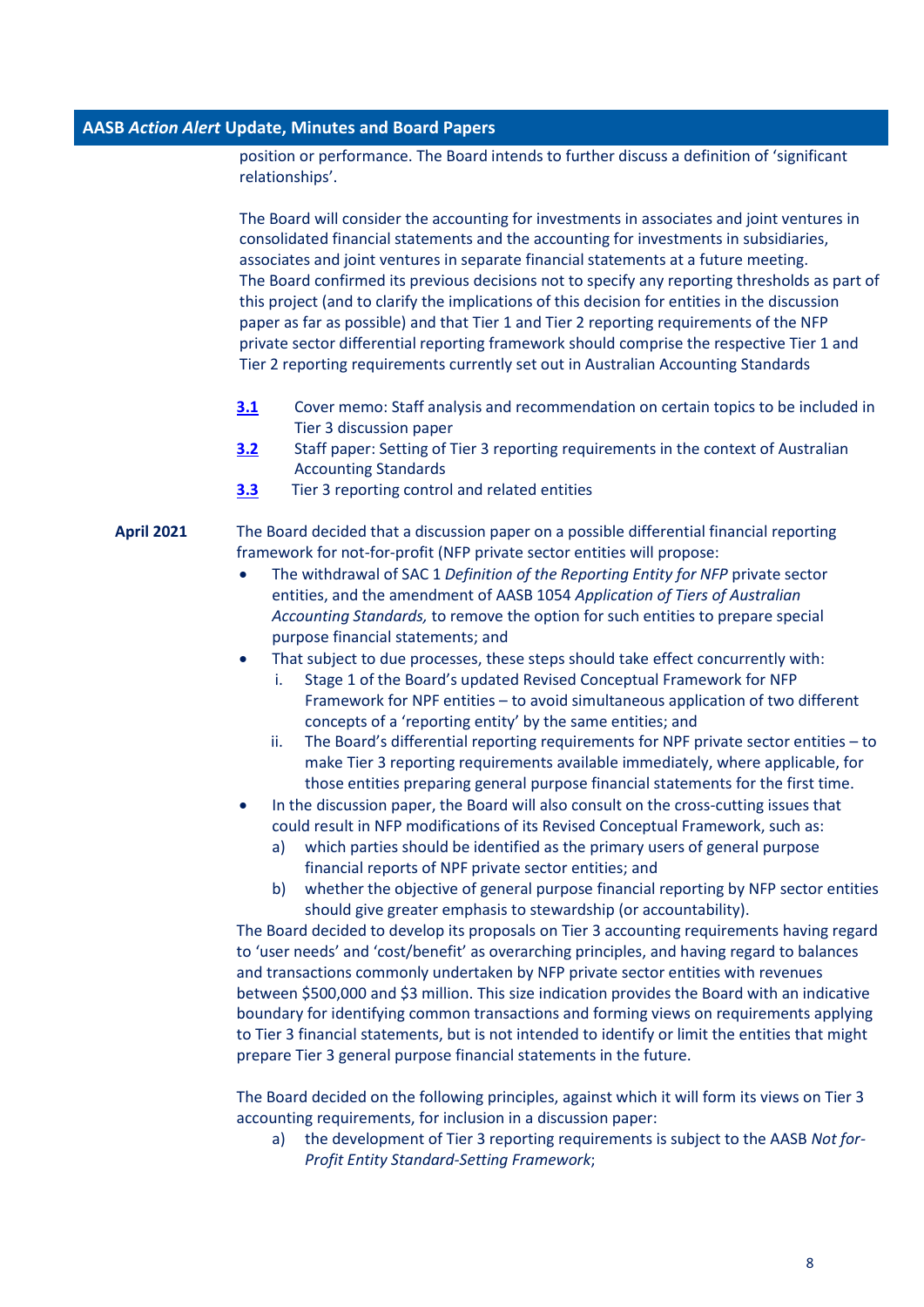position or performance. The Board intends to further discuss a definition of 'significant relationships'.

The Board will consider the accounting for investments in associates and joint ventures in consolidated financial statements and the accounting for investments in subsidiaries, associates and joint ventures in separate financial statements at a future meeting. The Board confirmed its previous decisions not to specify any reporting thresholds as part of this project (and to clarify the implications of this decision for entities in the discussion paper as far as possible) and that Tier 1 and Tier 2 reporting requirements of the NFP private sector differential reporting framework should comprise the respective Tier 1 and Tier 2 reporting requirements currently set out in Australian Accounting Standards

- **[3.1](https://aasb.gov.au/media/c3an1rvo/3-1_sp_covermemo_m181_pp.pdf)** Cover memo: Staff analysis and recommendation on certain topics to be included in Tier 3 discussion paper
- **[3.2](https://aasb.gov.au/media/cl3ln254/3-2_sp_tier3settingoftier3standards_m181_pp.pdf)** Staff paper: Setting of Tier 3 reporting requirements in the context of Australian Accounting Standards
- **[3.3](https://aasb.gov.au/admin/file/content102/c3/3.3_SP_Tier3Princhttps:/aasb.gov.au/media/zgseovgz/3-3_sp_tier3reportingcontrolledandrelatedentities_m181_pp.pdfiplesForDecisionMaking_M180_PP.pdf)** Tier 3 reporting control and related entities

# **April 2021** The Board decided that a discussion paper on a possible differential financial reporting framework for not-for-profit (NFP private sector entities will propose:

- The withdrawal of SAC 1 *Definition of the Reporting Entity for NFP* private sector entities, and the amendment of AASB 1054 *Application of Tiers of Australian Accounting Standards,* to remove the option for such entities to prepare special purpose financial statements; and
- That subject to due processes, these steps should take effect concurrently with:
	- i. Stage 1 of the Board's updated Revised Conceptual Framework for NFP Framework for NPF entities – to avoid simultaneous application of two different concepts of a 'reporting entity' by the same entities; and
	- ii. The Board's differential reporting requirements for NPF private sector entities to make Tier 3 reporting requirements available immediately, where applicable, for those entities preparing general purpose financial statements for the first time.
- In the discussion paper, the Board will also consult on the cross-cutting issues that could result in NFP modifications of its Revised Conceptual Framework, such as:
	- a) which parties should be identified as the primary users of general purpose financial reports of NPF private sector entities; and
	- b) whether the objective of general purpose financial reporting by NFP sector entities should give greater emphasis to stewardship (or accountability).

The Board decided to develop its proposals on Tier 3 accounting requirements having regard to 'user needs' and 'cost/benefit' as overarching principles, and having regard to balances and transactions commonly undertaken by NFP private sector entities with revenues between \$500,000 and \$3 million. This size indication provides the Board with an indicative boundary for identifying common transactions and forming views on requirements applying to Tier 3 financial statements, but is not intended to identify or limit the entities that might prepare Tier 3 general purpose financial statements in the future.

The Board decided on the following principles, against which it will form its views on Tier 3 accounting requirements, for inclusion in a discussion paper:

a) the development of Tier 3 reporting requirements is subject to the AASB *Not for-Profit Entity Standard-Setting Framework*;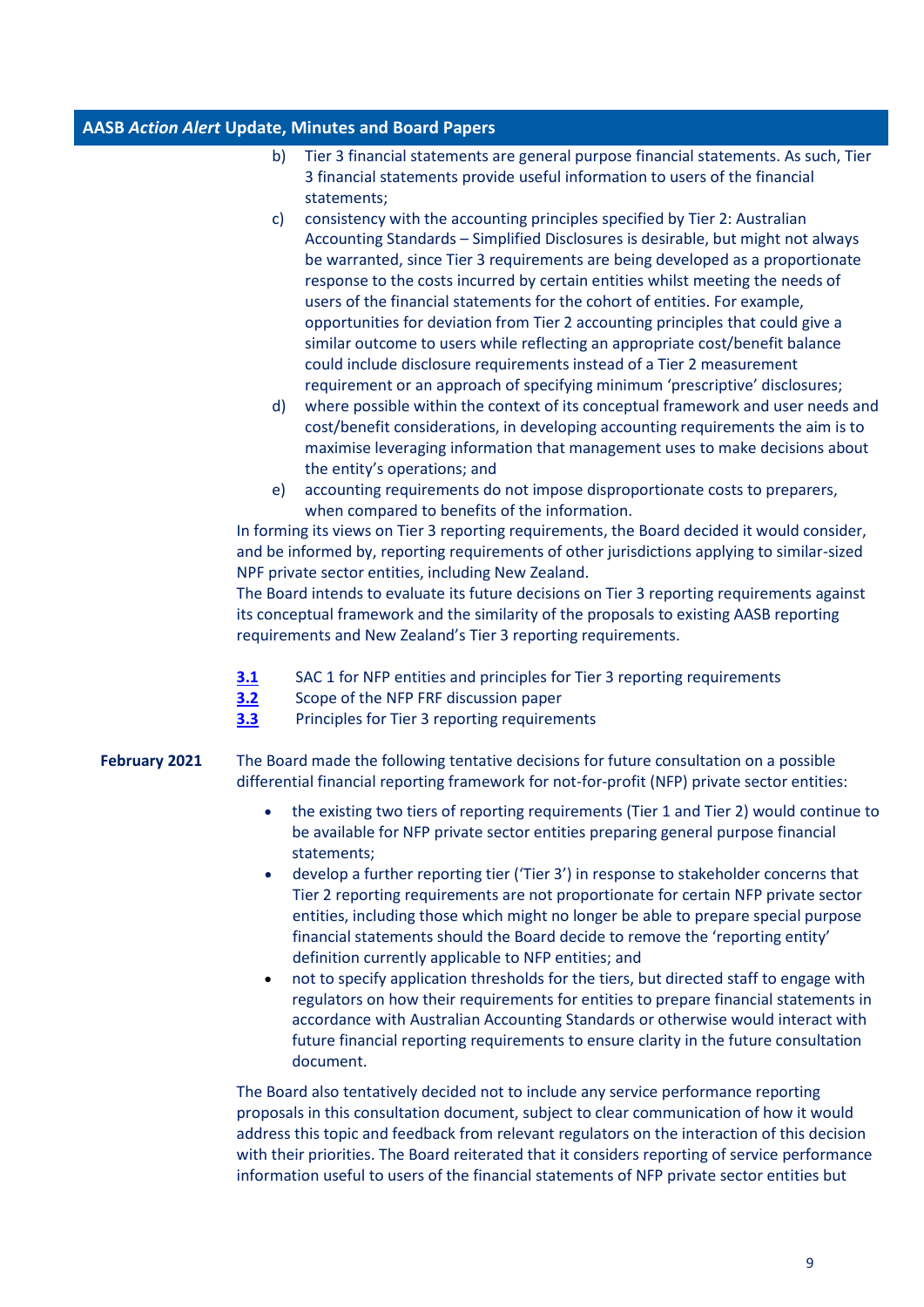- b) Tier 3 financial statements are general purpose financial statements. As such, Tier 3 financial statements provide useful information to users of the financial statements;
- c) consistency with the accounting principles specified by Tier 2: Australian Accounting Standards – Simplified Disclosures is desirable, but might not always be warranted, since Tier 3 requirements are being developed as a proportionate response to the costs incurred by certain entities whilst meeting the needs of users of the financial statements for the cohort of entities. For example, opportunities for deviation from Tier 2 accounting principles that could give a similar outcome to users while reflecting an appropriate cost/benefit balance could include disclosure requirements instead of a Tier 2 measurement requirement or an approach of specifying minimum 'prescriptive' disclosures;
- d) where possible within the context of its conceptual framework and user needs and cost/benefit considerations, in developing accounting requirements the aim is to maximise leveraging information that management uses to make decisions about the entity's operations; and
- e) accounting requirements do not impose disproportionate costs to preparers, when compared to benefits of the information.

In forming its views on Tier 3 reporting requirements, the Board decided it would consider, and be informed by, reporting requirements of other jurisdictions applying to similar-sized NPF private sector entities, including New Zealand.

The Board intends to evaluate its future decisions on Tier 3 reporting requirements against its conceptual framework and the similarity of the proposals to existing AASB reporting requirements and New Zealand's Tier 3 reporting requirements.

- **[3.1](https://aasb.gov.au/admin/file/content102/c3/3.1_SP_NFPFRF_M180_PP.pdf)** SAC 1 for NFP entities and principles for Tier 3 reporting requirements
- **[3.2](https://aasb.gov.au/admin/file/content102/c3/3.2_SP_SAC1_M180_PP.pdf)** Scope of the NFP FRF discussion paper
- **[3.3](https://aasb.gov.au/admin/file/content102/c3/3.3_SP_Tier3PrinciplesForDecisionMaking_M180_PP.pdf)** Principles for Tier 3 reporting requirements
- **February 2021** The Board made the following tentative decisions for future consultation on a possible differential financial reporting framework for not-for-profit (NFP) private sector entities:
	- the existing two tiers of reporting requirements (Tier 1 and Tier 2) would continue to be available for NFP private sector entities preparing general purpose financial statements;
	- develop a further reporting tier ('Tier 3') in response to stakeholder concerns that Tier 2 reporting requirements are not proportionate for certain NFP private sector entities, including those which might no longer be able to prepare special purpose financial statements should the Board decide to remove the 'reporting entity' definition currently applicable to NFP entities; and
	- not to specify application thresholds for the tiers, but directed staff to engage with regulators on how their requirements for entities to prepare financial statements in accordance with Australian Accounting Standards or otherwise would interact with future financial reporting requirements to ensure clarity in the future consultation document.

The Board also tentatively decided not to include any service performance reporting proposals in this consultation document, subject to clear communication of how it would address this topic and feedback from relevant regulators on the interaction of this decision with their priorities. The Board reiterated that it considers reporting of service performance information useful to users of the financial statements of NFP private sector entities but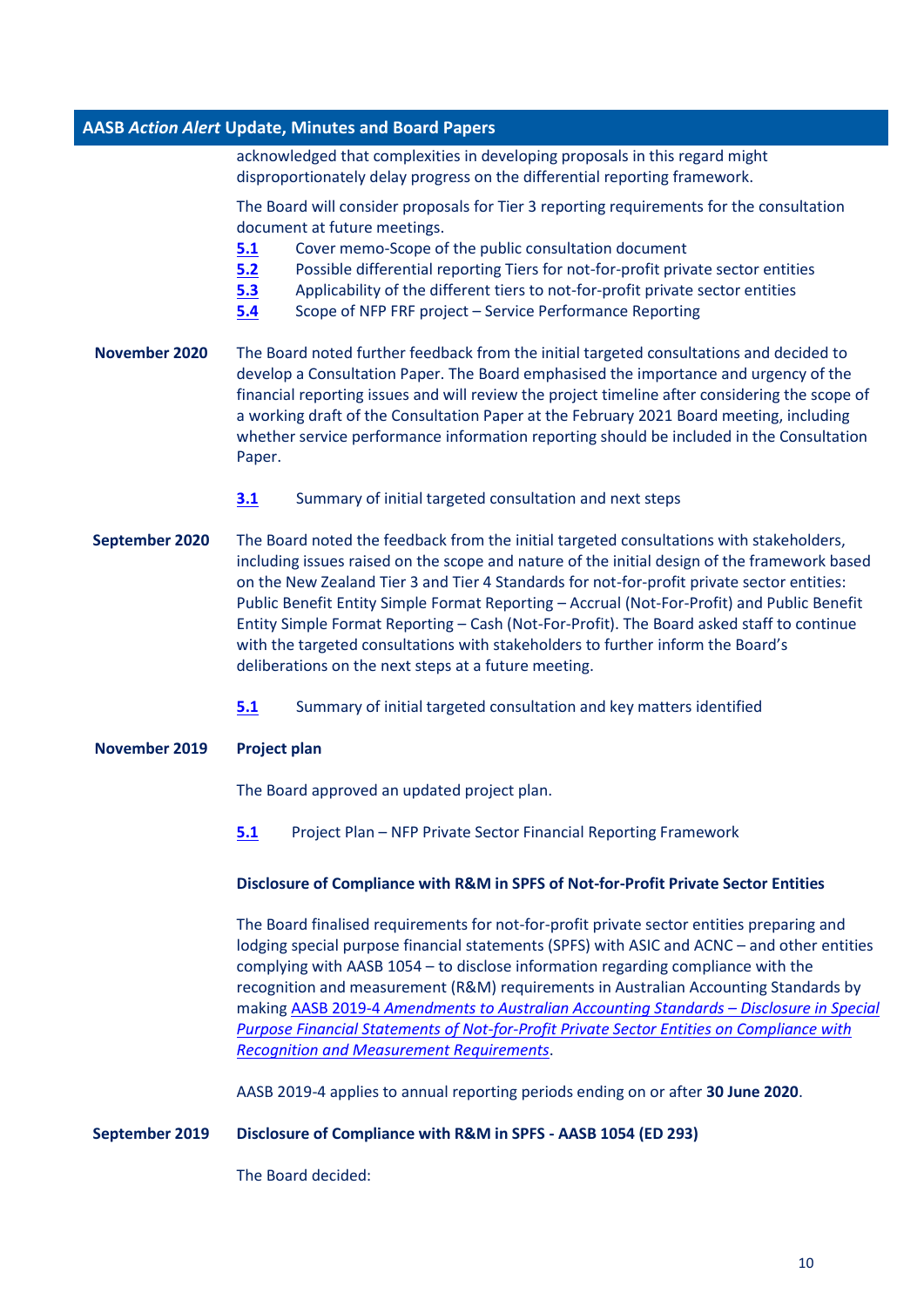acknowledged that complexities in developing proposals in this regard might disproportionately delay progress on the differential reporting framework.

The Board will consider proposals for Tier 3 reporting requirements for the consultation document at future meetings.

- **[5.1](https://www.aasb.gov.au/admin/file/content102/c3/5.1_SP_CM_NFPFRF_M179_PP.pdf)** Cover memo-Scope of the public consultation document
- **[5.2](https://www.aasb.gov.au/admin/file/content102/c3/5.2_SP_PossibleDifferentialRptTiersforNFP_PSE_M179_PP.pdf)** Possible differential reporting Tiers for not-for-profit private sector entities
- **[5.3](https://www.aasb.gov.au/admin/file/content102/c3/5.3_SP_ApplicabilityDifferentTierstoNFPentitiesNFPFRF_M179_PP.pdf)** Applicability of the different tiers to not-for-profit private sector entities
- **[5.4](https://www.aasb.gov.au/admin/file/content102/c3/5.4_SP_SPRNFPFRF_M179_PP.pdf)** Scope of NFP FRF project Service Performance Reporting
- **November 2020** The Board noted further feedback from the initial targeted consultations and decided to develop a Consultation Paper. The Board emphasised the importance and urgency of the financial reporting issues and will review the project timeline after considering the scope of a working draft of the Consultation Paper at the February 2021 Board meeting, including whether service performance information reporting should be included in the Consultation Paper.
	- **[3.1](https://www.aasb.gov.au/admin/file/content102/c3/3.1_SP_NFPFRF_M178_PP.pdf)** Summary of initial targeted consultation and next steps
- **September 2020** The Board noted the feedback from the initial targeted consultations with stakeholders, including issues raised on the scope and nature of the initial design of the framework based on the New Zealand Tier 3 and Tier 4 Standards for not-for-profit private sector entities: Public Benefit Entity Simple Format Reporting – Accrual (Not-For-Profit) and Public Benefit Entity Simple Format Reporting – Cash (Not-For-Profit). The Board asked staff to continue with the targeted consultations with stakeholders to further inform the Board's deliberations on the next steps at a future meeting.
	- **[5.1](https://www.aasb.gov.au/admin/file/content102/c3/5.1_SP_NFPFRF_M177_PP.pdf)** Summary of initial targeted consultation and key matters identified
- **November 2019 Project plan**

The Board approved an updated project plan.

**[5.1](https://www.aasb.gov.au/admin/file/content102/c3/5.1_PP_NFP-private_M173.pdf)** Project Plan – NFP Private Sector Financial Reporting Framework

#### **Disclosure of Compliance with R&M in SPFS of Not-for-Profit Private Sector Entities**

The Board finalised requirements for not-for-profit private sector entities preparing and lodging special purpose financial statements (SPFS) with ASIC and ACNC – and other entities complying with AASB 1054 – to disclose information regarding compliance with the recognition and measurement (R&M) requirements in Australian Accounting Standards by making AASB 2019-4 *[Amendments to Australian Accounting Standards](https://www.aasb.gov.au/admin/file/content105/c9/AASB2019-4_11-19.pdf) – Disclosure in Special [Purpose Financial Statements of Not-for-Profit Private Sector Entities on Compliance with](https://www.aasb.gov.au/admin/file/content105/c9/AASB2019-4_11-19.pdf)  [Recognition and Measurement Requirements](https://www.aasb.gov.au/admin/file/content105/c9/AASB2019-4_11-19.pdf)*.

AASB 2019-4 applies to annual reporting periods ending on or after **30 June 2020**.

#### **September 2019 Disclosure of Compliance with R&M in SPFS - AASB 1054 (ED 293)**

The Board decided: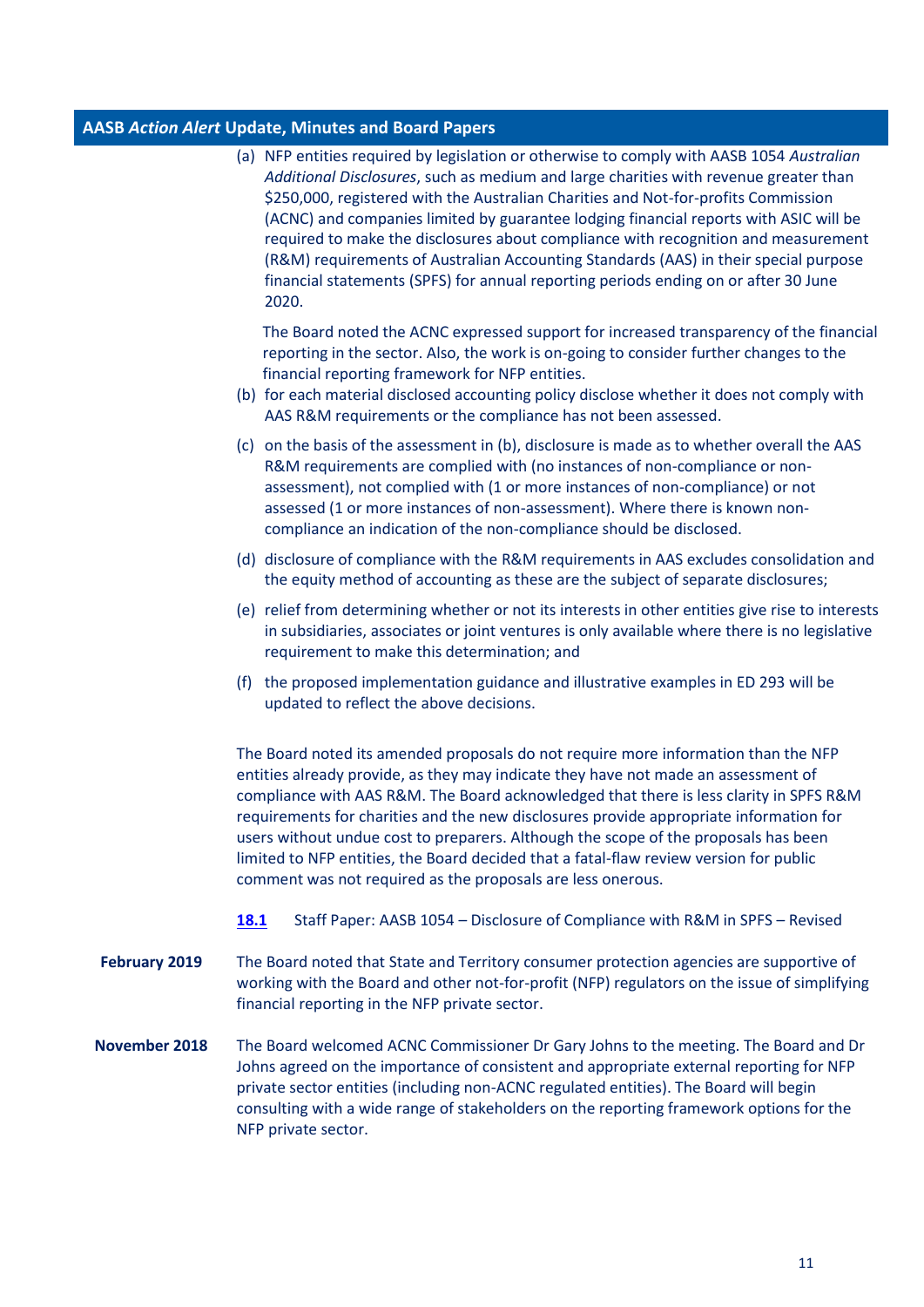NFP private sector.

|                      | (a) NFP entities required by legislation or otherwise to comply with AASB 1054 Australian<br>Additional Disclosures, such as medium and large charities with revenue greater than<br>\$250,000, registered with the Australian Charities and Not-for-profits Commission<br>(ACNC) and companies limited by guarantee lodging financial reports with ASIC will be<br>required to make the disclosures about compliance with recognition and measurement<br>(R&M) requirements of Australian Accounting Standards (AAS) in their special purpose<br>financial statements (SPFS) for annual reporting periods ending on or after 30 June<br>2020. |
|----------------------|------------------------------------------------------------------------------------------------------------------------------------------------------------------------------------------------------------------------------------------------------------------------------------------------------------------------------------------------------------------------------------------------------------------------------------------------------------------------------------------------------------------------------------------------------------------------------------------------------------------------------------------------|
|                      | The Board noted the ACNC expressed support for increased transparency of the financial<br>reporting in the sector. Also, the work is on-going to consider further changes to the<br>financial reporting framework for NFP entities.<br>(b) for each material disclosed accounting policy disclose whether it does not comply with<br>AAS R&M requirements or the compliance has not been assessed.                                                                                                                                                                                                                                             |
|                      | (c) on the basis of the assessment in (b), disclosure is made as to whether overall the AAS<br>R&M requirements are complied with (no instances of non-compliance or non-<br>assessment), not complied with (1 or more instances of non-compliance) or not<br>assessed (1 or more instances of non-assessment). Where there is known non-<br>compliance an indication of the non-compliance should be disclosed.                                                                                                                                                                                                                               |
|                      | (d) disclosure of compliance with the R&M requirements in AAS excludes consolidation and<br>the equity method of accounting as these are the subject of separate disclosures;                                                                                                                                                                                                                                                                                                                                                                                                                                                                  |
|                      | (e) relief from determining whether or not its interests in other entities give rise to interests<br>in subsidiaries, associates or joint ventures is only available where there is no legislative<br>requirement to make this determination; and                                                                                                                                                                                                                                                                                                                                                                                              |
|                      | the proposed implementation guidance and illustrative examples in ED 293 will be<br>(f)<br>updated to reflect the above decisions.                                                                                                                                                                                                                                                                                                                                                                                                                                                                                                             |
|                      | The Board noted its amended proposals do not require more information than the NFP<br>entities already provide, as they may indicate they have not made an assessment of<br>compliance with AAS R&M. The Board acknowledged that there is less clarity in SPFS R&M<br>requirements for charities and the new disclosures provide appropriate information for<br>users without undue cost to preparers. Although the scope of the proposals has been<br>limited to NFP entities, the Board decided that a fatal-flaw review version for public<br>comment was not required as the proposals are less onerous.                                   |
|                      | Staff Paper: AASB 1054 - Disclosure of Compliance with R&M in SPFS - Revised<br><b>18.1</b>                                                                                                                                                                                                                                                                                                                                                                                                                                                                                                                                                    |
| <b>February 2019</b> | The Board noted that State and Territory consumer protection agencies are supportive of<br>working with the Board and other not-for-profit (NFP) regulators on the issue of simplifying<br>financial reporting in the NFP private sector.                                                                                                                                                                                                                                                                                                                                                                                                      |
| November 2018        | The Board welcomed ACNC Commissioner Dr Gary Johns to the meeting. The Board and Dr<br>Johns agreed on the importance of consistent and appropriate external reporting for NFP<br>private sector entities (including non-ACNC regulated entities). The Board will begin<br>consulting with a wide range of stakeholders on the reporting framework options for the                                                                                                                                                                                                                                                                             |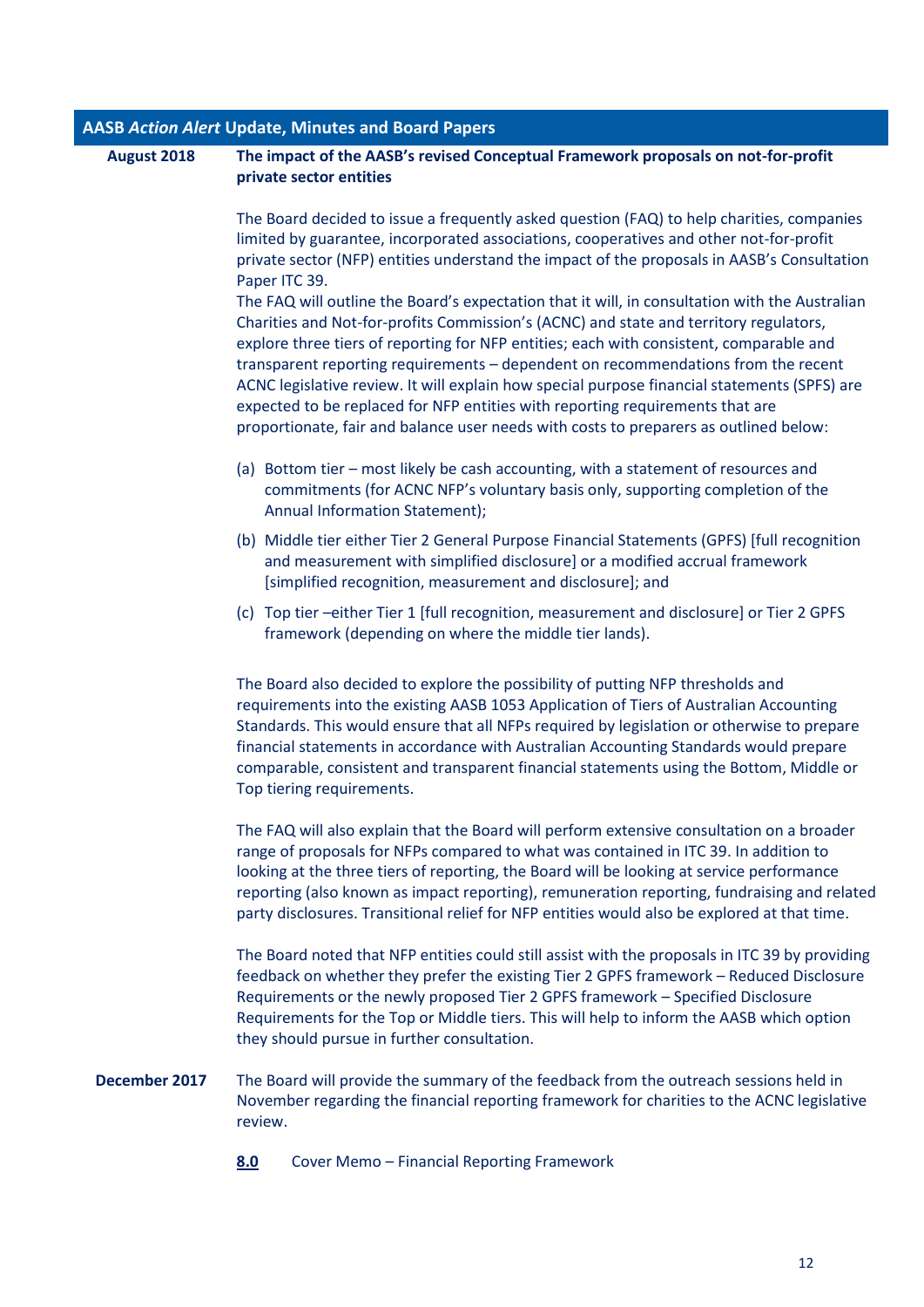| August 2018   | The impact of the AASB's revised Conceptual Framework proposals on not-for-profit<br>private sector entities                                                                                                                                                                                                                                                                                                                                                                                                                                                                                                                                                                                                                                                                                                                                                    |  |
|---------------|-----------------------------------------------------------------------------------------------------------------------------------------------------------------------------------------------------------------------------------------------------------------------------------------------------------------------------------------------------------------------------------------------------------------------------------------------------------------------------------------------------------------------------------------------------------------------------------------------------------------------------------------------------------------------------------------------------------------------------------------------------------------------------------------------------------------------------------------------------------------|--|
|               | The Board decided to issue a frequently asked question (FAQ) to help charities, companies<br>limited by guarantee, incorporated associations, cooperatives and other not-for-profit<br>private sector (NFP) entities understand the impact of the proposals in AASB's Consultation<br>Paper ITC 39.<br>The FAQ will outline the Board's expectation that it will, in consultation with the Australian<br>Charities and Not-for-profits Commission's (ACNC) and state and territory regulators,<br>explore three tiers of reporting for NFP entities; each with consistent, comparable and<br>transparent reporting requirements - dependent on recommendations from the recent<br>ACNC legislative review. It will explain how special purpose financial statements (SPFS) are<br>expected to be replaced for NFP entities with reporting requirements that are |  |
|               | proportionate, fair and balance user needs with costs to preparers as outlined below:<br>(a) Bottom tier - most likely be cash accounting, with a statement of resources and<br>commitments (for ACNC NFP's voluntary basis only, supporting completion of the<br>Annual Information Statement);                                                                                                                                                                                                                                                                                                                                                                                                                                                                                                                                                                |  |
|               | (b) Middle tier either Tier 2 General Purpose Financial Statements (GPFS) [full recognition<br>and measurement with simplified disclosure] or a modified accrual framework<br>[simplified recognition, measurement and disclosure]; and                                                                                                                                                                                                                                                                                                                                                                                                                                                                                                                                                                                                                         |  |
|               | (c) Top tier -either Tier 1 [full recognition, measurement and disclosure] or Tier 2 GPFS<br>framework (depending on where the middle tier lands).                                                                                                                                                                                                                                                                                                                                                                                                                                                                                                                                                                                                                                                                                                              |  |
|               | The Board also decided to explore the possibility of putting NFP thresholds and<br>requirements into the existing AASB 1053 Application of Tiers of Australian Accounting<br>Standards. This would ensure that all NFPs required by legislation or otherwise to prepare<br>financial statements in accordance with Australian Accounting Standards would prepare<br>comparable, consistent and transparent financial statements using the Bottom, Middle or<br>Top tiering requirements.                                                                                                                                                                                                                                                                                                                                                                        |  |
|               | The FAQ will also explain that the Board will perform extensive consultation on a broader<br>range of proposals for NFPs compared to what was contained in ITC 39. In addition to<br>looking at the three tiers of reporting, the Board will be looking at service performance<br>reporting (also known as impact reporting), remuneration reporting, fundraising and related<br>party disclosures. Transitional relief for NFP entities would also be explored at that time.                                                                                                                                                                                                                                                                                                                                                                                   |  |
|               | The Board noted that NFP entities could still assist with the proposals in ITC 39 by providing<br>feedback on whether they prefer the existing Tier 2 GPFS framework - Reduced Disclosure<br>Requirements or the newly proposed Tier 2 GPFS framework - Specified Disclosure<br>Requirements for the Top or Middle tiers. This will help to inform the AASB which option<br>they should pursue in further consultation.                                                                                                                                                                                                                                                                                                                                                                                                                                         |  |
| December 2017 | The Board will provide the summary of the feedback from the outreach sessions held in<br>November regarding the financial reporting framework for charities to the ACNC legislative<br>review.                                                                                                                                                                                                                                                                                                                                                                                                                                                                                                                                                                                                                                                                  |  |
|               | 8.0<br>Cover Memo - Financial Reporting Framework                                                                                                                                                                                                                                                                                                                                                                                                                                                                                                                                                                                                                                                                                                                                                                                                               |  |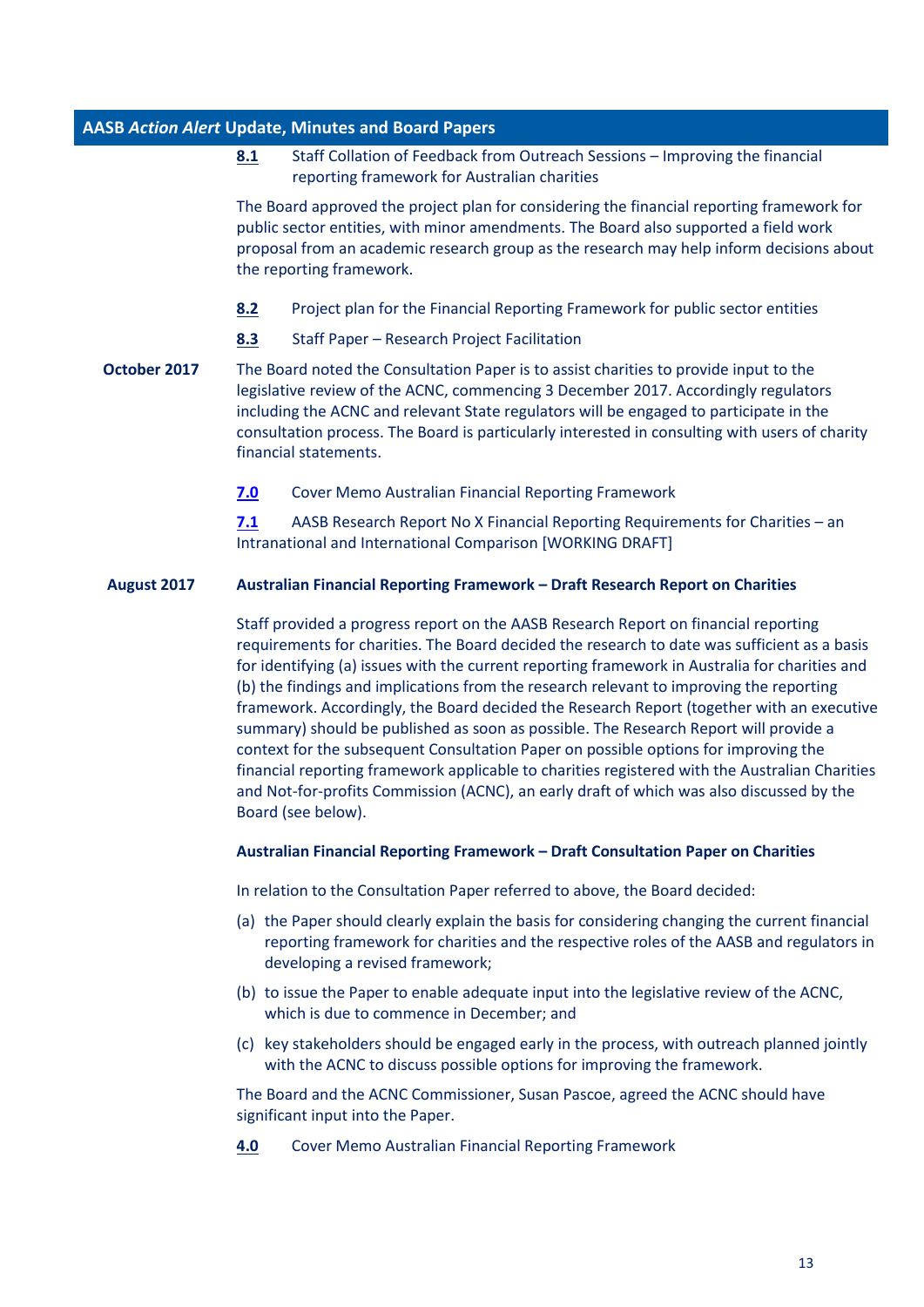**[8.1](http://www.aasb.gov.au/admin/file/content102/c3/8.1_Collation_NFP_Outreach_2017_M161.pdf)** Staff Collation of Feedback from Outreach Sessions – Improving the financial reporting framework for Australian charities

The Board approved the project plan for considering the financial reporting framework for public sector entities, with minor amendments. The Board also supported a field work proposal from an academic research group as the research may help inform decisions about the reporting framework.

- **[8.2](http://www.aasb.gov.au/admin/file/content102/c3/8.2_Project_Plan_PSReporting_M161.pdf)** Project plan for the Financial Reporting Framework for public sector entities
- **[8.3](http://www.aasb.gov.au/admin/file/content102/c3/8.3_Research_Project_Facilitation_M161.pdf)** Staff Paper Research Project Facilitation
- **October 2017** The Board noted the Consultation Paper is to assist charities to provide input to the legislative review of the ACNC, commencing 3 December 2017. Accordingly regulators including the ACNC and relevant State regulators will be engaged to participate in the consultation process. The Board is particularly interested in consulting with users of charity financial statements.
	- **[7.0](http://www.aasb.gov.au/admin/file/content102/c3/7.0_Reporting_Framework_Memo_M160.pdf)** Cover Memo Australian Financial Reporting Framework

**[7.1](http://www.aasb.gov.au/admin/file/content102/c3/7.1_AASB_Research_Report_No.X_Financial_Reporting_Requirements_for_Charities.pdf)** AASB Research Report No X Financial Reporting Requirements for Charities – an Intranational and International Comparison [WORKING DRAFT]

### **August 2017 Australian Financial Reporting Framework – Draft Research Report on Charities**

Staff provided a progress report on the AASB Research Report on financial reporting requirements for charities. The Board decided the research to date was sufficient as a basis for identifying (a) issues with the current reporting framework in Australia for charities and (b) the findings and implications from the research relevant to improving the reporting framework. Accordingly, the Board decided the Research Report (together with an executive summary) should be published as soon as possible. The Research Report will provide a context for the subsequent Consultation Paper on possible options for improving the financial reporting framework applicable to charities registered with the Australian Charities and Not-for-profits Commission (ACNC), an early draft of which was also discussed by the Board (see below).

#### **Australian Financial Reporting Framework – Draft Consultation Paper on Charities**

In relation to the Consultation Paper referred to above, the Board decided:

- (a) the Paper should clearly explain the basis for considering changing the current financial reporting framework for charities and the respective roles of the AASB and regulators in developing a revised framework;
- (b) to issue the Paper to enable adequate input into the legislative review of the ACNC, which is due to commence in December; and
- (c) key stakeholders should be engaged early in the process, with outreach planned jointly with the ACNC to discuss possible options for improving the framework.

The Board and the ACNC Commissioner, Susan Pascoe, agreed the ACNC should have significant input into the Paper.

**[4.0](http://www.aasb.gov.au/admin/file/content102/c3/4.0_Cover_Memo_Australian_Financial_Reporting_Framework_M159_.pdf)** Cover Memo Australian Financial Reporting Framework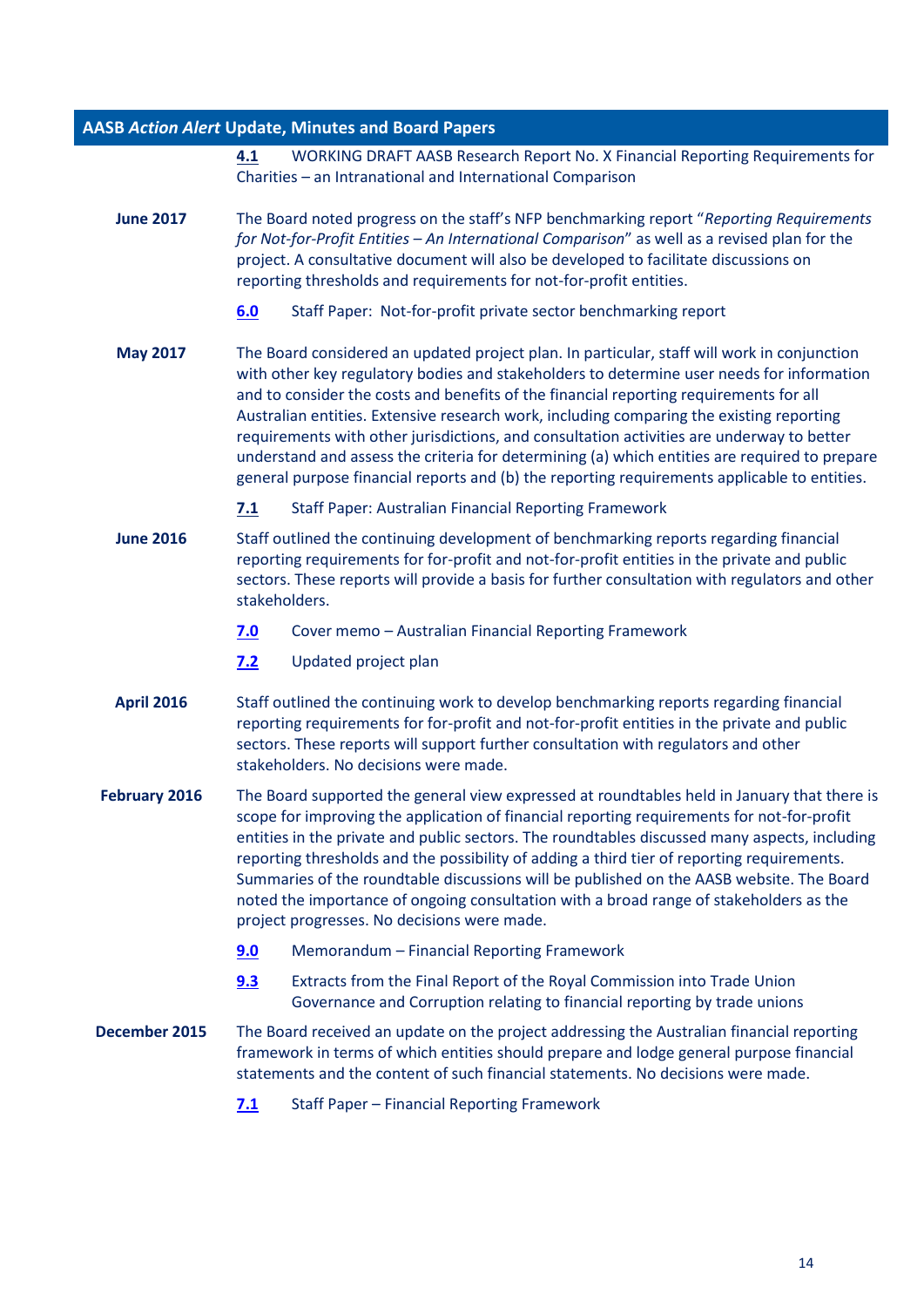**[4.1](http://www.aasb.gov.au/admin/file/content102/c3/4.1_WDAASBRRX_XX-17_Fin_Rep_Reqs_for_Charities_M159.pdf)** WORKING DRAFT AASB Research Report No. X Financial Reporting Requirements for Charities – an Intranational and International Comparison

- **June 2017** The Board noted progress on the staff's NFP benchmarking report "*Reporting Requirements for Not-for-Profit Entities – An International Comparison*" as well as a revised plan for the project. A consultative document will also be developed to facilitate discussions on reporting thresholds and requirements for not-for-profit entities.
	- **[6.0](http://www.aasb.gov.au/admin/file/content102/c3/6.0_Staff_Paper_NFP_private_sector_benchmarking_report_M158.pdf)** Staff Paper: Not-for-profit private sector benchmarking report
- **May 2017** The Board considered an updated project plan. In particular, staff will work in conjunction with other key regulatory bodies and stakeholders to determine user needs for information and to consider the costs and benefits of the financial reporting requirements for all Australian entities. Extensive research work, including comparing the existing reporting requirements with other jurisdictions, and consultation activities are underway to better understand and assess the criteria for determining (a) which entities are required to prepare general purpose financial reports and (b) the reporting requirements applicable to entities.
	- **[7.1](http://www.aasb.gov.au/admin/file/content102/c3/7.1_Reporting%20Framework_M157.pdf)** Staff Paper: Australian Financial Reporting Framework
- **June 2016** Staff outlined the continuing development of benchmarking reports regarding financial reporting requirements for for-profit and not-for-profit entities in the private and public sectors. These reports will provide a basis for further consultation with regulators and other stakeholders.
	- **[7.0](http://www.aasb.gov.au/admin/file/content102/c3/7.0_Memo_Reporting_Framework_M152.pdf)** Cover memo Australian Financial Reporting Framework
	- **[7.2](http://www.aasb.gov.au/admin/file/content102/c3/7.2_Staff_Paper_Reporting_Framework_Project_Plan_M152.pdf)** Updated project plan
- **April 2016** Staff outlined the continuing work to develop benchmarking reports regarding financial reporting requirements for for-profit and not-for-profit entities in the private and public sectors. These reports will support further consultation with regulators and other stakeholders. No decisions were made.
- **February 2016** The Board supported the general view expressed at roundtables held in January that there is scope for improving the application of financial reporting requirements for not-for-profit entities in the private and public sectors. The roundtables discussed many aspects, including reporting thresholds and the possibility of adding a third tier of reporting requirements. Summaries of the roundtable discussions will be published on the AASB website. The Board noted the importance of ongoing consultation with a broad range of stakeholders as the project progresses. No decisions were made.
	- **[9.0](http://www.aasb.gov.au/admin/file/content102/c3/9.0_Memo_Reporting_Framework_M150.pdf)** Memorandum Financial Reporting Framework
	- **[9.3](http://www.aasb.gov.au/admin/file/content102/c3/9.3_Extracts_Royal_Commission_Unions_Financial_Reporting_M150.pdf)** Extracts from the Final Report of the Royal Commission into Trade Union Governance and Corruption relating to financial reporting by trade unions
- **December 2015** The Board received an update on the project addressing the Australian financial reporting framework in terms of which entities should prepare and lodge general purpose financial statements and the content of such financial statements. No decisions were made.
	- **[7.1](http://www.aasb.gov.au/admin/file/content102/c3/M149_7.1_Staff_Paper_Reporting_Framework_Project.pdf)** Staff Paper Financial Reporting Framework